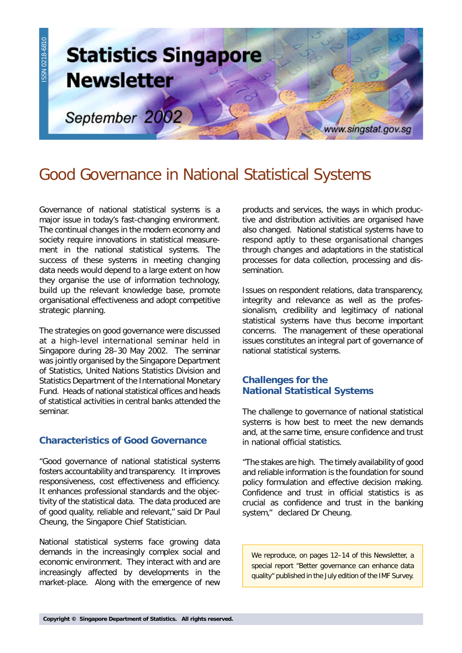

# Good Governance in National Statistical Systems

Governance of national statistical systems is a major issue in today's fast-changing environment. The continual changes in the modern economy and society require innovations in statistical measurement in the national statistical systems. The success of these systems in meeting changing data needs would depend to a large extent on how they organise the use of information technology, build up the relevant knowledge base, promote organisational effectiveness and adopt competitive strategic planning.

The strategies on good governance were discussed at a high-level international seminar held in Singapore during 28–30 May 2002. The seminar was jointly organised by the Singapore Department of Statistics, United Nations Statistics Division and Statistics Department of the International Monetary Fund. Heads of national statistical offices and heads of statistical activities in central banks attended the seminar.

# **Characteristics of Good Governance**

"Good governance of national statistical systems fosters accountability and transparency. It improves responsiveness, cost effectiveness and efficiency. It enhances professional standards and the objectivity of the statistical data. The data produced are of good quality, reliable and relevant," said Dr Paul Cheung, the Singapore Chief Statistician.

National statistical systems face growing data demands in the increasingly complex social and economic environment. They interact with and are increasingly affected by developments in the market-place. Along with the emergence of new products and services, the ways in which productive and distribution activities are organised have also changed. National statistical systems have to respond aptly to these organisational changes through changes and adaptations in the statistical processes for data collection, processing and dissemination.

Issues on respondent relations, data transparency, integrity and relevance as well as the professionalism, credibility and legitimacy of national statistical systems have thus become important concerns. The management of these operational issues constitutes an integral part of governance of national statistical systems.

# **Challenges for the National Statistical Systems**

The challenge to governance of national statistical systems is how best to meet the new demands and, at the same time, ensure confidence and trust in national official statistics.

"The stakes are high. The timely availability of good and reliable information is the foundation for sound policy formulation and effective decision making. Confidence and trust in official statistics is as crucial as confidence and trust in the banking system," declared Dr Cheung.

We reproduce, on pages 12–14 of this Newsletter, a special report "Better governance can enhance data quality" published in the July edition of the IMF Survey.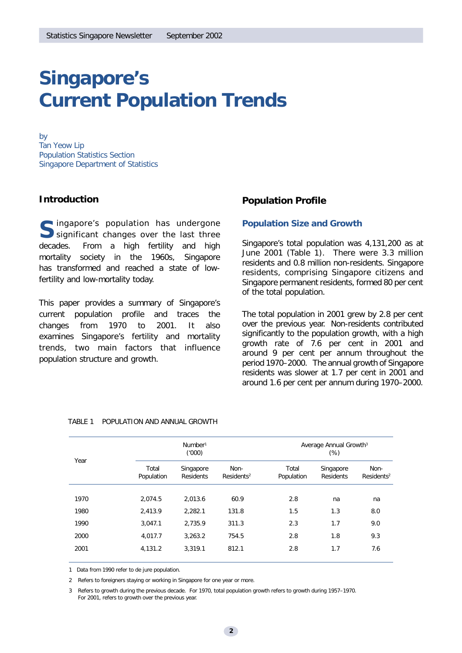# **Singapore's Current Population Trends**

*by Tan Yeow Lip Population Statistics Section Singapore Department of Statistics*

# **Introduction**

Singapore's population has undergone<br>
Significant changes over the last three significant changes over the last three decades. From a high fertility and high mortality society in the 1960s, Singapore has transformed and reached a state of lowfertility and low-mortality today.

This paper provides a summary of Singapore's current population profile and traces the changes from 1970 to 2001. It also examines Singapore's fertility and mortality trends, two main factors that influence population structure and growth.

# **Population Profile**

### *Population Size and Growth*

Singapore's total population was 4,131,200 as at June 2001 (Table 1). There were 3.3 million residents and 0.8 million non-residents. Singapore residents, comprising Singapore citizens and Singapore permanent residents, formed 80 per cent of the total population.

The total population in 2001 grew by 2.8 per cent over the previous year. Non-residents contributed significantly to the population growth, with a high growth rate of 7.6 per cent in 2001 and around 9 per cent per annum throughout the period 1970–2000. The annual growth of Singapore residents was slower at 1.7 per cent in 2001 and around 1.6 per cent per annum during 1970–2000.

| Year | Number <sup>1</sup><br>(1000) |                               |                                | Average Annual Growth <sup>3</sup><br>(% ) |                               |                                |
|------|-------------------------------|-------------------------------|--------------------------------|--------------------------------------------|-------------------------------|--------------------------------|
|      | Total<br>Population           | Singapore<br><b>Residents</b> | Non-<br>Residents <sup>2</sup> | Total<br>Population                        | Singapore<br><b>Residents</b> | Non-<br>Residents <sup>2</sup> |
| 1970 | 2.074.5                       | 2.013.6                       | 60.9                           | 2.8                                        | na                            | na                             |
| 1980 | 2,413.9                       | 2,282.1                       | 131.8                          | 1.5                                        | 1.3                           | 8.0                            |
| 1990 | 3.047.1                       | 2.735.9                       | 311.3                          | 2.3                                        | 1.7                           | 9.0                            |
| 2000 | 4,017.7                       | 3,263.2                       | 754.5                          | 2.8                                        | 1.8                           | 9.3                            |
| 2001 | 4,131.2                       | 3.319.1                       | 812.1                          | 2.8                                        | 1.7                           | 7.6                            |

| TABLE 1 POPULATION AND ANNUAL GROWTH |  |
|--------------------------------------|--|
|                                      |  |

1 Data from 1990 refer to de jure population.

2 Refers to foreigners staying or working in Singapore for one year or more.

3 Refers to growth during the previous decade. For 1970, total population growth refers to growth during 1957–1970. For 2001, refers to growth over the previous year.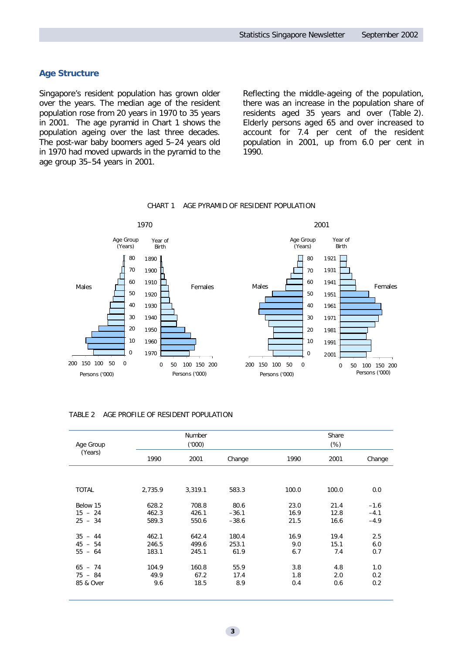# *Age Structure*

Singapore's resident population has grown older over the years. The median age of the resident population rose from 20 years in 1970 to 35 years in 2001. The age pyramid in Chart 1 shows the population ageing over the last three decades. The post-war baby boomers aged 5–24 years old in 1970 had moved upwards in the pyramid to the age group 35–54 years in 2001.

Reflecting the middle-ageing of the population, there was an increase in the population share of residents aged 35 years and over (Table 2). Elderly persons aged 65 and over increased to account for 7.4 per cent of the resident population in 2001, up from 6.0 per cent in 1990.



#### CHART 1 AGE PYRAMID OF RESIDENT POPULATION

|  | TABLE 2 AGE PROFILE OF RESIDENT POPULATION |  |
|--|--------------------------------------------|--|
|  |                                            |  |

| Age Group  |         | Number<br>(000) |         |       | Share<br>$(\%)$ |        |
|------------|---------|-----------------|---------|-------|-----------------|--------|
| (Years)    | 1990    | 2001            | Change  | 1990  | 2001            | Change |
|            |         |                 |         |       |                 |        |
| TOTAL      | 2,735.9 | 3,319.1         | 583.3   | 100.0 | 100.0           | 0.0    |
| Below 15   | 628.2   | 708.8           | 80.6    | 23.0  | 21.4            | $-1.6$ |
| $15 - 24$  | 462.3   | 426.1           | $-36.1$ | 16.9  | 12.8            | $-4.1$ |
| $25 - 34$  | 589.3   | 550.6           | $-38.6$ | 21.5  | 16.6            | $-4.9$ |
| $35 - 44$  | 462.1   | 642.4           | 180.4   | 16.9  | 19.4            | 2.5    |
| 45<br>- 54 | 246.5   | 499.6           | 253.1   | 9.0   | 15.1            | 6.0    |
| $55 - 64$  | 183.1   | 245.1           | 61.9    | 6.7   | 7.4             | 0.7    |
| $65 - 74$  | 104.9   | 160.8           | 55.9    | 3.8   | 4.8             | 1.0    |
| $75 - 84$  | 49.9    | 67.2            | 17.4    | 1.8   | 2.0             | 0.2    |
| 85 & Over  | 9.6     | 18.5            | 8.9     | 0.4   | 0.6             | 0.2    |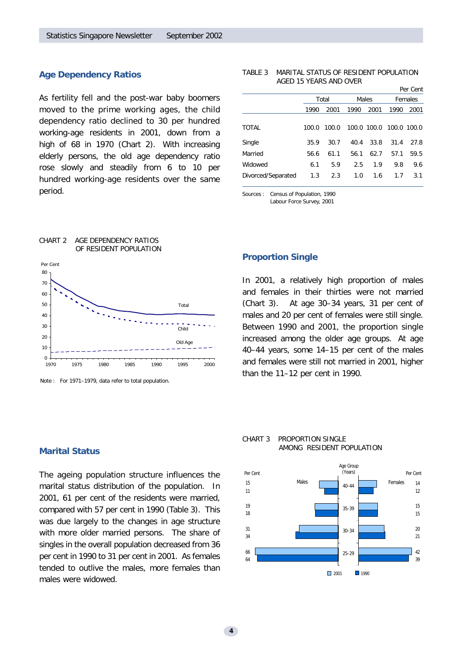# *Age Dependency Ratios*

As fertility fell and the post-war baby boomers moved to the prime working ages, the child dependency ratio declined to 30 per hundred working-age residents in 2001, down from a high of 68 in 1970 (Chart 2). With increasing elderly persons, the old age dependency ratio rose slowly and steadily from 6 to 10 per hundred working-age residents over the same period.

#### TABLE 3 MARITAL STATUS OF RESIDENT POPULATION AGED 15 YEARS AND OVER

|                    |       |       |      |             |             | Per Cent |  |
|--------------------|-------|-------|------|-------------|-------------|----------|--|
|                    |       | Total |      | Males       |             | Females  |  |
|                    | 1990  | 2001  | 1990 | 2001        | 1990        | 2001     |  |
|                    |       |       |      |             |             |          |  |
| <b>TOTAL</b>       | 100.0 | 100.0 |      | 100.0 100.0 | 100.0 100.0 |          |  |
| Single             | 35.9  | 30.7  | 40.4 | 33.8        | 31.4        | 27.8     |  |
| Married            | 56.6  | 61.1  | 56.1 | 62.7        | 57.1        | 59.5     |  |
| Widowed            | 6.1   | 5.9   | 2.5  | 1.9         | 9.8         | 9.6      |  |
| Divorced/Separated | 1.3   | 2.3   | 1.0  | 1.6         | 1.7         | 3.1      |  |
|                    |       |       |      |             |             |          |  |



Note : For 1971–1979, data refer to total population.

CHART 2 AGE DEPENDENCY RATIOS

### *Marital Status*

The ageing population structure influences the marital status distribution of the population. In 2001, 61 per cent of the residents were married, compared with 57 per cent in 1990 (Table 3). This was due largely to the changes in age structure with more older married persons. The share of singles in the overall population decreased from 36 per cent in 1990 to 31 per cent in 2001. As females tended to outlive the males, more females than males were widowed.

### *Proportion Single*

Sources : Census of Population, 1990 Labour Force Survey, 2001

In 2001, a relatively high proportion of males and females in their thirties were not married (Chart 3). At age 30–34 years, 31 per cent of males and 20 per cent of females were still single. Between 1990 and 2001, the proportion single increased among the older age groups. At age 40–44 years, some 14–15 per cent of the males and females were still not married in 2001, higher than the 11–12 per cent in 1990.

#### CHART 3 PROPORTION SINGLE AMONG RESIDENT POPULATION

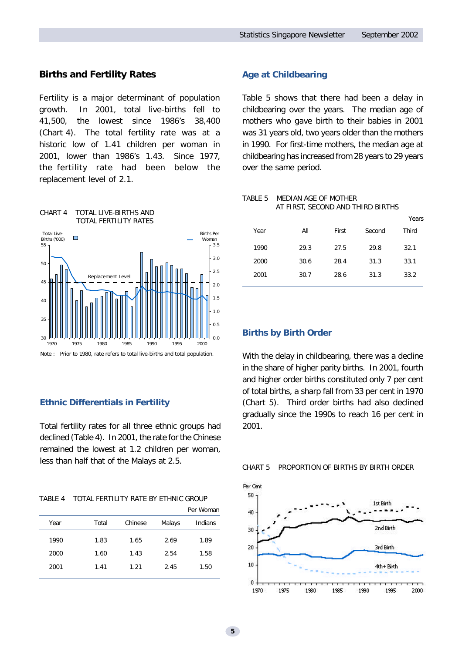# **Births and Fertility Rates**

Fertility is a major determinant of population growth. In 2001, total live-births fell to 41,500, the lowest since 1986's 38,400 (Chart 4). The total fertility rate was at a historic low of 1.41 children per woman in 2001, lower than 1986's 1.43. Since 1977, the fertility rate had been below the replacement level of 2.1.



# *Ethnic Differentials in Fertility*

Total fertility rates for all three ethnic groups had declined (Table 4). In 2001, the rate for the Chinese remained the lowest at 1.2 children per woman, less than half that of the Malays at 2.5.

| TABLE 4 | TOTAL FERTILITY RATE BY ETHNIC GROUP |  |  |
|---------|--------------------------------------|--|--|
|         |                                      |  |  |

|      |       |         |        | Per Woman |
|------|-------|---------|--------|-----------|
| Year | Total | Chinese | Malays | Indians   |
| 1990 | 1.83  | 1.65    | 2.69   | 1.89      |
| 2000 | 1.60  | 1.43    | 2.54   | 1.58      |
| 2001 | 1.41  | 1.21    | 2.45   | 1.50      |
|      |       |         |        |           |

# *Age at Childbearing*

Table 5 shows that there had been a delay in childbearing over the years. The median age of mothers who gave birth to their babies in 2001 was 31 years old, two years older than the mothers in 1990. For first-time mothers, the median age at childbearing has increased from 28 years to 29 years over the same period.

### TABLE 5 MEDIAN AGE OF MOTHER AT FIRST, SECOND AND THIRD BIRTHS

|      |      |       |        | Years |
|------|------|-------|--------|-------|
| Year | All  | First | Second | Third |
| 1990 | 29.3 | 27.5  | 29.8   | 32.1  |
| 2000 | 30.6 | 28.4  | 31.3   | 33.1  |
| 2001 | 30.7 | 28.6  | 31.3   | 33.2  |
|      |      |       |        |       |

#### *Births by Birth Order*

With the delay in childbearing, there was a decline in the share of higher parity births. In 2001, fourth and higher order births constituted only 7 per cent of total births, a sharp fall from 33 per cent in 1970 (Chart 5). Third order births had also declined gradually since the 1990s to reach 16 per cent in 2001.



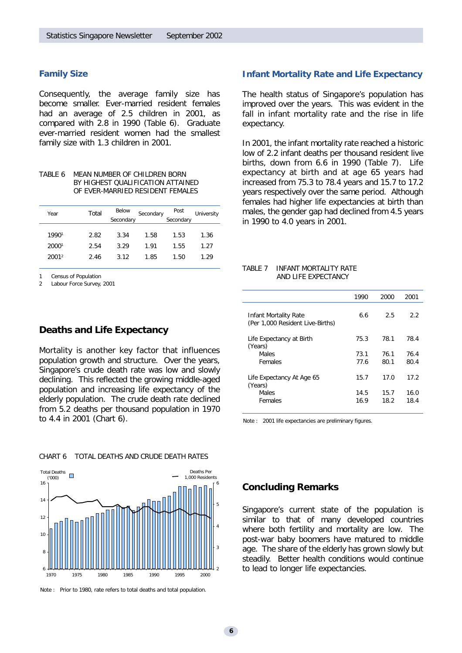### *Family Size*

Consequently, the average family size has become smaller. Ever-married resident females had an average of 2.5 children in 2001, as compared with 2.8 in 1990 (Table 6). Graduate ever-married resident women had the smallest family size with 1.3 children in 2001.

TABLE 6 MEAN NUMBER OF CHILDREN BORN BY HIGHEST QUALIFICATION ATTAINED OF EVER-MARRIED RESIDENT FEMALES

| Year              | Total | Below     | Secondary | Post      | University |  |
|-------------------|-------|-----------|-----------|-----------|------------|--|
|                   |       | Secondary |           | Secondary |            |  |
|                   |       |           |           |           |            |  |
| 19901             | 2.82  | 3.34      | 1.58      | 1.53      | 1.36       |  |
| 20001             | 2.54  | 3.29      | 1.91      | 1.55      | 1.27       |  |
| 2001 <sup>2</sup> | 2.46  | 3.12      | 1.85      | 1.50      | 1.29       |  |
|                   |       |           |           |           |            |  |

Census of Population

2 Labour Force Survey, 2001

# **Deaths and Life Expectancy**

Mortality is another key factor that influences population growth and structure. Over the years, Singapore's crude death rate was low and slowly declining. This reflected the growing middle-aged population and increasing life expectancy of the elderly population. The crude death rate declined from 5.2 deaths per thousand population in 1970 to 4.4 in 2001 (Chart 6).

#### Total Deaths Deaths Per П ('000) 1,000 Residents16 6 14 5 12 4  $10$ 3 8 <sup>6</sup> to lead to longer life expectancies. 2 1970 1975 1980 1985 1990 1995 2000

CHART 6 TOTAL DEATHS AND CRUDE DEATH RATES

Note : Prior to 1980, rate refers to total deaths and total population.

### *Infant Mortality Rate and Life Expectancy*

The health status of Singapore's population has improved over the years. This was evident in the fall in infant mortality rate and the rise in life expectancy.

In 2001, the infant mortality rate reached a historic low of 2.2 infant deaths per thousand resident live births, down from 6.6 in 1990 (Table 7). Life expectancy at birth and at age 65 years had increased from 75.3 to 78.4 years and 15.7 to 17.2 years respectively over the same period. Although females had higher life expectancies at birth than males, the gender gap had declined from 4.5 years in 1990 to 4.0 years in 2001.

#### TABLE 7 INFANT MORTALITY RATE AND LIFE EXPECTANCY

|                                                           | 1990 | 2000 | 2001 |
|-----------------------------------------------------------|------|------|------|
| Infant Mortality Rate<br>(Per 1,000 Resident Live-Births) | 6.6  | 2.5  | 2.2  |
| Life Expectancy at Birth<br>(Years)                       | 75.3 | 78.1 | 78.4 |
| <b>Males</b>                                              | 73.1 | 76.1 | 76.4 |
| Females                                                   | 77.6 | 80.1 | 80.4 |
| Life Expectancy At Age 65<br>(Years)                      | 15.7 | 17.0 | 17.2 |
| <b>Males</b>                                              | 14.5 | 15.7 | 16.0 |
| Females                                                   | 16.9 | 18.2 | 18.4 |
|                                                           |      |      |      |

Note : 2001 life expectancies are preliminary figures.

# **Concluding Remarks**

Singapore's current state of the population is similar to that of many developed countries where both fertility and mortality are low. The post-war baby boomers have matured to middle age. The share of the elderly has grown slowly but steadily. Better health conditions would continue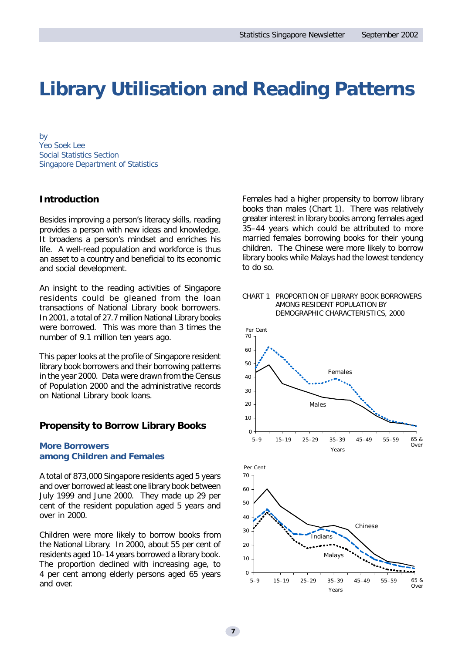# **Library Utilisation and Reading Patterns**

*by Yeo Soek Lee Social Statistics Section Singapore Department of Statistics*

# **Introduction**

Besides improving a person's literacy skills, reading provides a person with new ideas and knowledge. It broadens a person's mindset and enriches his life. A well-read population and workforce is thus an asset to a country and beneficial to its economic and social development.

An insight to the reading activities of Singapore residents could be gleaned from the loan transactions of National Library book borrowers. In 2001, a total of 27.7 million National Library books were borrowed. This was more than 3 times the number of 9.1 million ten years ago.

This paper looks at the profile of Singapore resident library book borrowers and their borrowing patterns in the year 2000. Data were drawn from the Census of Population 2000 and the administrative records on National Library book loans.

# **Propensity to Borrow Library Books**

### *More Borrowers among Children and Females*

A total of 873,000 Singapore residents aged 5 years and over borrowed at least one library book between July 1999 and June 2000. They made up 29 per cent of the resident population aged 5 years and over in 2000.

Children were more likely to borrow books from the National Library. In 2000, about 55 per cent of residents aged 10–14 years borrowed a library book. The proportion declined with increasing age, to 4 per cent among elderly persons aged 65 years and over.

Females had a higher propensity to borrow library books than males (Chart 1). There was relatively greater interest in library books among females aged 35–44 years which could be attributed to more married females borrowing books for their young children. The Chinese were more likely to borrow library books while Malays had the lowest tendency to do so.



5–9 15–19 25–29 35–39 45–49 55–59 65 &

Years

Over

#### CHART 1 PROPORTION OF LIBRARY BOOK BORROWERS AMONG RESIDENT POPULATION BY DEMOGRAPHIC CHARACTERISTICS, 2000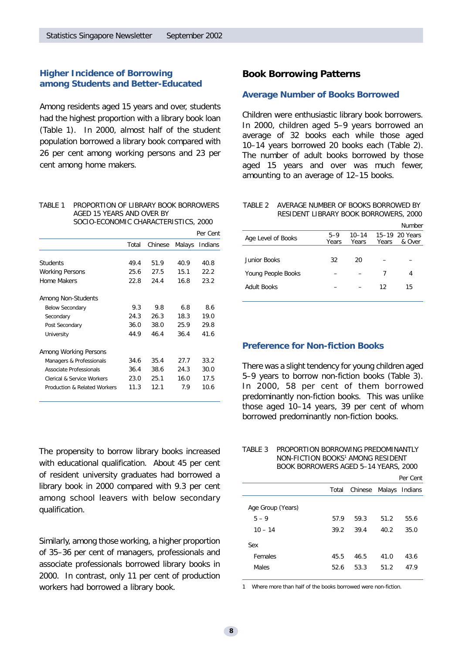# *Higher Incidence of Borrowing among Students and Better-Educated*

Among residents aged 15 years and over, students had the highest proportion with a library book loan (Table 1). In 2000, almost half of the student population borrowed a library book compared with 26 per cent among working persons and 23 per cent among home makers.

| TABI F 1 | PROPORTION OF LIBRARY BOOK BORROWERS |
|----------|--------------------------------------|
|          | AGED 15 YEARS AND OVER BY            |
|          | SOCIO-ECONOMIC CHARACTERISTICS, 2000 |

|                              |       |         |        | Per Cent |
|------------------------------|-------|---------|--------|----------|
|                              | Total | Chinese | Malays | Indians  |
|                              |       |         |        |          |
| <b>Students</b>              | 49.4  | 51.9    | 40.9   | 40.8     |
| <b>Working Persons</b>       | 25.6  | 27.5    | 15.1   | 22.2     |
| Home Makers                  | 22.8  | 24.4    | 16.8   | 23.2     |
| Among Non-Students           |       |         |        |          |
| <b>Below Secondary</b>       | 9.3   | 9.8     | 6.8    | 8.6      |
| Secondary                    | 24.3  | 26.3    | 18.3   | 19.0     |
| Post Secondary               | 36.0  | 38.0    | 25.9   | 29.8     |
| University                   | 44.9  | 46.4    | 36.4   | 41.6     |
| Among Working Persons        |       |         |        |          |
| Managers & Professionals     | 34.6  | 35.4    | 27.7   | 33.2     |
| Associate Professionals      | 36.4  | 38.6    | 24.3   | 30.0     |
| Clerical & Service Workers   | 23.0  | 25.1    | 16.0   | 17.5     |
| Production & Related Workers | 11.3  | 12.1    | 7.9    | 10.6     |

The propensity to borrow library books increased with educational qualification. About 45 per cent of resident university graduates had borrowed a library book in 2000 compared with 9.3 per cent among school leavers with below secondary qualification.

Similarly, among those working, a higher proportion of 35–36 per cent of managers, professionals and associate professionals borrowed library books in 2000. In contrast, only 11 per cent of production workers had borrowed a library book.

# **Book Borrowing Patterns**

#### *Average Number of Books Borrowed*

Children were enthusiastic library book borrowers. In 2000, children aged 5–9 years borrowed an average of 32 books each while those aged 10–14 years borrowed 20 books each (Table 2). The number of adult books borrowed by those aged 15 years and over was much fewer, amounting to an average of 12–15 books.

TABLE 2 AVERAGE NUMBER OF BOOKS BORROWED BY RESIDENT LIBRARY BOOK BORROWERS, 2000

|                    |                  |                    |       | Number                   |
|--------------------|------------------|--------------------|-------|--------------------------|
| Age Level of Books | $5 - 9$<br>Years | $10 - 14$<br>Years | Years | 15-19 20 Years<br>& Over |
|                    |                  |                    |       |                          |
| Junior Books       | 32               | 20                 |       |                          |
| Young People Books |                  |                    | 7     | 4                        |
| Adult Books        |                  |                    | 12    | 15                       |
|                    |                  |                    |       |                          |

#### *Preference for Non-fiction Books*

There was a slight tendency for young children aged 5–9 years to borrow non-fiction books (Table 3). In 2000, 58 per cent of them borrowed predominantly non-fiction books. This was unlike those aged 10–14 years, 39 per cent of whom borrowed predominantly non-fiction books.

#### TABLE 3 PROPORTION BORROWING PREDOMINANTLY NON-FICTION BOOKS<sup>1</sup> AMONG RESIDENT BOOK BORROWERS AGED 5–14 YEARS, 2000

|                   |       |                        |      | Per Cent |
|-------------------|-------|------------------------|------|----------|
|                   | Total | Chinese Malays Indians |      |          |
| Age Group (Years) |       |                        |      |          |
| $5 - 9$           | 57.9  | 59.3                   | 51.2 | 55.6     |
| $10 - 14$         | 39.2  | 39.4                   | 40.2 | 35.0     |
| Sex               |       |                        |      |          |
| Females           | 45.5  | 46.5                   | 41.0 | 43.6     |
| Males             | 52.6  | 53.3                   | 51.2 | 47.9     |
|                   |       |                        |      |          |

1 Where more than half of the books borrowed were non-fiction.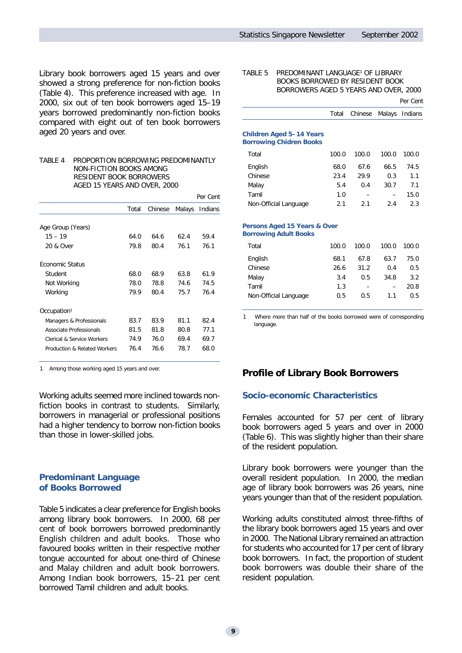Library book borrowers aged 15 years and over showed a strong preference for non-fiction books (Table 4). This preference increased with age. In 2000, six out of ten book borrowers aged 15–19 years borrowed predominantly non-fiction books compared with eight out of ten book borrowers aged 20 years and over.

TABLE 4 PROPORTION BORROWING PREDOMINANTLY NON-FICTION BOOKS AMONG RESIDENT BOOK BORROWERS AGED 15 YEARS AND OVER, 2000

|                              |       |         |        | Per Cent |
|------------------------------|-------|---------|--------|----------|
|                              | Total | Chinese | Malays | Indians  |
| Age Group (Years)            |       |         |        |          |
| $15 - 19$                    | 64 O  | 64.6    | 62.4   | 59.4     |
| 20 & Over                    | 79.8  | 80.4    | 76.1   | 76.1     |
| <b>Economic Status</b>       |       |         |        |          |
| Student                      | 68.0  | 68.9    | 63.8   | 61.9     |
| Not Working                  | 78.0  | 78.8    | 74.6   | 74.5     |
| Working                      | 79.9  | 80.4    | 75.7   | 76.4     |
| Occupation <sup>1</sup>      |       |         |        |          |
| Managers & Professionals     | 83.7  | 83.9    | 81.1   | 82.4     |
| Associate Professionals      | 81.5  | 81.8    | 80.8   | 77.1     |
| Clerical & Service Workers   | 74.9  | 76.0    | 69.4   | 69.7     |
| Production & Related Workers | 76.4  | 76.6    | 78.7   | 68.0     |

1 Among those working aged 15 years and over.

Working adults seemed more inclined towards nonfiction books in contrast to students. Similarly, borrowers in managerial or professional positions had a higher tendency to borrow non-fiction books than those in lower-skilled jobs.

### *Predominant Language of Books Borrowed*

Table 5 indicates a clear preference for English books among library book borrowers. In 2000, 68 per cent of book borrowers borrowed predominantly English children and adult books. Those who favoured books written in their respective mother tongue accounted for about one-third of Chinese and Malay children and adult book borrowers. Among Indian book borrowers, 15–21 per cent borrowed Tamil children and adult books.

#### TABLE 5 PREDOMINANT LANGUAGE<sup>1</sup> OF LIBRARY BOOKS BORROWED BY RESIDENT BOOK BORROWERS AGED 5 YEARS AND OVER, 2000

Per Cent

|  | Total Chinese Malays Indians |  |
|--|------------------------------|--|
|  |                              |  |

#### *Children Aged 5–14 Years Borrowing Chidren Books*

| Total                 | 100.0 | 100.0 | 100.0 | 100.0 |
|-----------------------|-------|-------|-------|-------|
| English               | 68.0  | 67.6  | 66.5  | 74.5  |
| Chinese               | 23.4  | 29.9  | 0.3   | 1.1   |
| Malay                 | 5.4   | 0.4   | 30.7  | 7.1   |
| Tamil                 | 1.0   |       |       | 15.0  |
| Non-Official Language | 21    | 21    | 2.4   | 2.3   |

#### *Persons Aged 15 Years & Over Borrowing Adult Books*

| Total                 | 100.0 | 100.0 | 100.0 | 100.0 |
|-----------------------|-------|-------|-------|-------|
| English               | 68.1  | 67.8  | 63.7  | 75.0  |
| Chinese               | 26.6  | 31.2  | 0.4   | 0.5   |
| Malay                 | 3.4   | 0.5   | 34.8  | 3.2   |
| Tamil                 | 1.3   |       |       | 20.8  |
| Non-Official Language | 0.5   | 0.5   | 1.1   | 0.5   |

Where more than half of the books borrowed were of corresponding language.

# **Profile of Library Book Borrowers**

#### *Socio-economic Characteristics*

Females accounted for 57 per cent of library book borrowers aged 5 years and over in 2000 (Table 6). This was slightly higher than their share of the resident population.

Library book borrowers were younger than the overall resident population. In 2000, the median age of library book borrowers was 26 years, nine years younger than that of the resident population.

Working adults constituted almost three-fifths of the library book borrowers aged 15 years and over in 2000. The National Library remained an attraction for students who accounted for 17 per cent of library book borrowers. In fact, the proportion of student book borrowers was double their share of the resident population.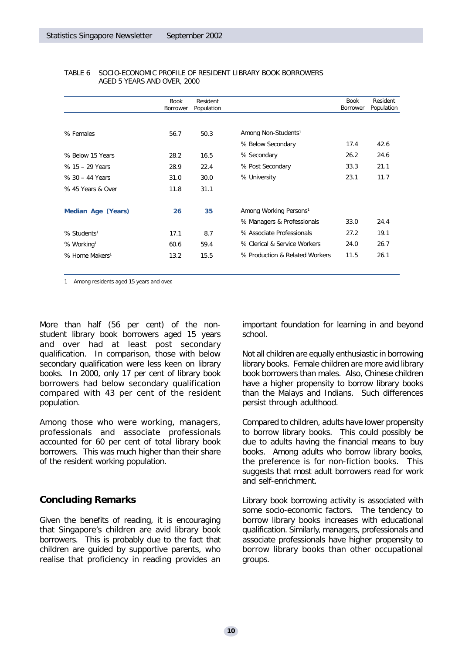|                            | Book<br>Borrower | Resident<br>Population |                                    | <b>Book</b><br>Borrower | Resident<br>Population |
|----------------------------|------------------|------------------------|------------------------------------|-------------------------|------------------------|
|                            |                  |                        |                                    |                         |                        |
| % Females                  | 56.7             | 50.3                   | Among Non-Students <sup>1</sup>    |                         |                        |
|                            |                  |                        | % Below Secondary                  | 17.4                    | 42.6                   |
| % Below 15 Years           | 28.2             | 16.5                   | % Secondary                        | 26.2                    | 24.6                   |
| % 15 - 29 Years            | 28.9             | 22.4                   | % Post Secondary                   | 33.3                    | 21.1                   |
| $% 30 - 44$ Years          | 31.0             | 30.0                   | % University                       | 23.1                    | 11.7                   |
| % 45 Years & Over          | 11.8             | 31.1                   |                                    |                         |                        |
| <b>Median Age (Years)</b>  | 26               | 35                     | Among Working Persons <sup>1</sup> |                         |                        |
|                            |                  |                        | % Managers & Professionals         | 33.0                    | 24.4                   |
| % Students <sup>1</sup>    | 17.1             | 8.7                    | % Associate Professionals          | 27.2                    | 19.1                   |
| % Working <sup>1</sup>     | 60.6             | 59.4                   | % Clerical & Service Workers       | 24.0                    | 26.7                   |
| % Home Makers <sup>1</sup> | 13.2             | 15.5                   | % Production & Related Workers     | 11.5                    | 26.1                   |

#### TABLE 6 SOCIO-ECONOMIC PROFILE OF RESIDENT LIBRARY BOOK BORROWERS AGED 5 YEARS AND OVER, 2000

1 Among residents aged 15 years and over.

More than half (56 per cent) of the nonstudent library book borrowers aged 15 years and over had at least post secondary qualification. In comparison, those with below secondary qualification were less keen on library books. In 2000, only 17 per cent of library book borrowers had below secondary qualification compared with 43 per cent of the resident population.

Among those who were working, managers, professionals and associate professionals accounted for 60 per cent of total library book borrowers. This was much higher than their share of the resident working population.

# **Concluding Remarks**

Given the benefits of reading, it is encouraging that Singapore's children are avid library book borrowers. This is probably due to the fact that children are guided by supportive parents, who realise that proficiency in reading provides an important foundation for learning in and beyond school.

Not all children are equally enthusiastic in borrowing library books. Female children are more avid library book borrowers than males. Also, Chinese children have a higher propensity to borrow library books than the Malays and Indians. Such differences persist through adulthood.

Compared to children, adults have lower propensity to borrow library books. This could possibly be due to adults having the financial means to buy books. Among adults who borrow library books, the preference is for non-fiction books. This suggests that most adult borrowers read for work and self-enrichment.

Library book borrowing activity is associated with some socio-economic factors. The tendency to borrow library books increases with educational qualification. Similarly, managers, professionals and associate professionals have higher propensity to borrow library books than other occupational groups.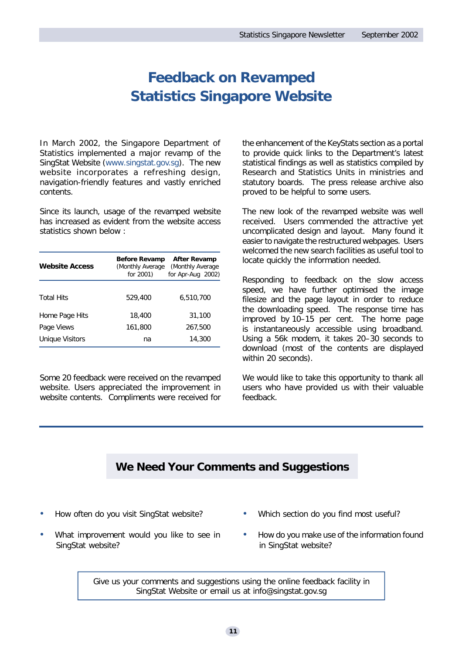# **Feedback on Revamped Statistics Singapore Website**

In March 2002, the Singapore Department of Statistics implemented a major revamp of the SingStat Website (www.singstat.gov.sg). The new website incorporates a refreshing design, navigation-friendly features and vastly enriched contents.

Since its launch, usage of the revamped website has increased as evident from the website access statistics shown below :

| <b>Website Access</b> | <b>Before Revamp</b><br>(Monthly Average<br>for 2001) | After Revamp<br>(Monthly Average<br>for Apr-Aug 2002) |
|-----------------------|-------------------------------------------------------|-------------------------------------------------------|
| <b>Total Hits</b>     | 529,400                                               | 6,510,700                                             |
| Home Page Hits        | 18,400                                                | 31,100                                                |
| Page Views            | 161,800                                               | 267,500                                               |
| Unique Visitors       | na                                                    | 14,300                                                |

Some 20 feedback were received on the revamped website. Users appreciated the improvement in website contents. Compliments were received for

the enhancement of the KeyStats section as a portal to provide quick links to the Department's latest statistical findings as well as statistics compiled by Research and Statistics Units in ministries and statutory boards. The press release archive also proved to be helpful to some users.

The new look of the revamped website was well received. Users commended the attractive yet uncomplicated design and layout. Many found it easier to navigate the restructured webpages. Users welcomed the new search facilities as useful tool to locate quickly the information needed.

Responding to feedback on the slow access speed, we have further optimised the image filesize and the page layout in order to reduce the downloading speed. The response time has improved by 10–15 per cent. The home page is instantaneously accessible using broadband. Using a 56k modem, it takes 20–30 seconds to download (most of the contents are displayed within 20 seconds).

We would like to take this opportunity to thank all users who have provided us with their valuable feedback.

# **We Need Your Comments and Suggestions**

- How often do you visit SingStat website?
	- What improvement would you like to see in SingStat website?
- Which section do you find most useful?
- How do you make use of the information found in SingStat website?

Give us your comments and suggestions using the online feedback facility in SingStat Website or email us at info@singstat.gov.sg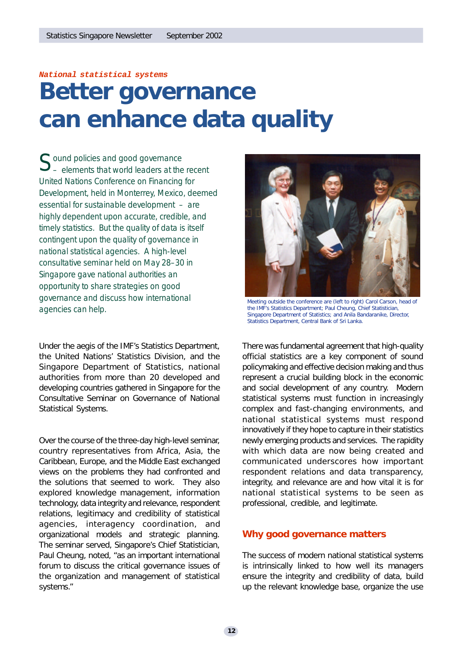### *National statistical systems*

# **Better governance can enhance data quality**

*S ound policies and good governance – elements that world leaders at the recent United Nations Conference on Financing for Development, held in Monterrey, Mexico, deemed essential for sustainable development – are highly dependent upon accurate, credible, and timely statistics. But the quality of data is itself contingent upon the quality of governance in national statistical agencies. A high-level consultative seminar held on May 28–30 in Singapore gave national authorities an opportunity to share strategies on good governance and discuss how international agencies can help.*

Under the aegis of the IMF's Statistics Department, the United Nations' Statistics Division, and the Singapore Department of Statistics, national authorities from more than 20 developed and developing countries gathered in Singapore for the Consultative Seminar on Governance of National Statistical Systems.

Over the course of the three-day high-level seminar, country representatives from Africa, Asia, the Caribbean, Europe, and the Middle East exchanged views on the problems they had confronted and the solutions that seemed to work. They also explored knowledge management, information technology, data integrity and relevance, respondent relations, legitimacy and credibility of statistical agencies, interagency coordination, and organizational models and strategic planning. The seminar served, Singapore's Chief Statistician, Paul Cheung, noted, "as an important international forum to discuss the critical governance issues of the organization and management of statistical systems."



Meeting outside the conference are (left to right) Carol Carson, head of the IMF's Statistics Department; Paul Cheung, Chief Statistician, Singapore Department of Statistics; and Anila Bandaranike, Director, Statistics Department, Central Bank of Sri Lanka.

There was fundamental agreement that high-quality official statistics are a key component of sound policymaking and effective decision making and thus represent a crucial building block in the economic and social development of any country. Modern statistical systems must function in increasingly complex and fast-changing environments, and national statistical systems must respond innovatively if they hope to capture in their statistics newly emerging products and services. The rapidity with which data are now being created and communicated underscores how important respondent relations and data transparency, integrity, and relevance are and how vital it is for national statistical systems to be seen as professional, credible, and legitimate.

# **Why good governance matters**

The success of modern national statistical systems is intrinsically linked to how well its managers ensure the integrity and credibility of data, build up the relevant knowledge base, organize the use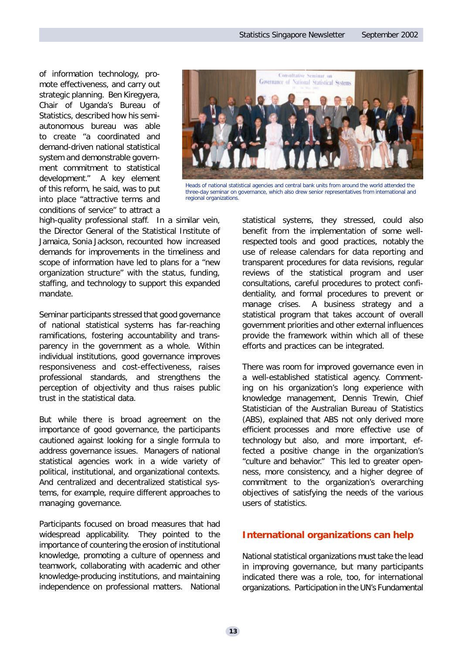of information technology, promote effectiveness, and carry out strategic planning. Ben Kiregyera, Chair of Uganda's Bureau of Statistics, described how his semiautonomous bureau was able to create "a coordinated and demand-driven national statistical system and demonstrable government commitment to statistical development." A key element of this reform, he said, was to put into place "attractive terms and conditions of service" to attract a



Heads of national statistical agencies and central bank units from around the world attended the three-day seminar on governance, which also drew senior representatives from international and regional organizations.

high-quality professional staff. In a similar vein, the Director General of the Statistical Institute of Jamaica, Sonia Jackson, recounted how increased demands for improvements in the timeliness and scope of information have led to plans for a "new organization structure" with the status, funding, staffing, and technology to support this expanded mandate.

Seminar participants stressed that good governance of national statistical systems has far-reaching ramifications, fostering accountability and transparency in the government as a whole. Within individual institutions, good governance improves responsiveness and cost-effectiveness, raises professional standards, and strengthens the perception of objectivity and thus raises public trust in the statistical data.

But while there is broad agreement on the importance of good governance, the participants cautioned against looking for a single formula to address governance issues. Managers of national statistical agencies work in a wide variety of political, institutional, and organizational contexts. And centralized and decentralized statistical systems, for example, require different approaches to managing governance.

Participants focused on broad measures that had widespread applicability. They pointed to the importance of countering the erosion of institutional knowledge, promoting a culture of openness and teamwork, collaborating with academic and other knowledge-producing institutions, and maintaining independence on professional matters. National statistical systems, they stressed, could also benefit from the implementation of some wellrespected tools and good practices, notably the use of release calendars for data reporting and transparent procedures for data revisions, regular reviews of the statistical program and user consultations, careful procedures to protect confidentiality, and formal procedures to prevent or manage crises. A business strategy and a statistical program that takes account of overall government priorities and other external influences provide the framework within which all of these efforts and practices can be integrated.

There was room for improved governance even in a well-established statistical agency. Commenting on his organization's long experience with knowledge management, Dennis Trewin, Chief Statistician of the Australian Bureau of Statistics (ABS), explained that ABS not only derived more efficient processes and more effective use of technology but also, and more important, effected a positive change in the organization's "culture and behavior." This led to greater openness, more consistency, and a higher degree of commitment to the organization's overarching objectives of satisfying the needs of the various users of statistics.

# **International organizations can help**

National statistical organizations must take the lead in improving governance, but many participants indicated there was a role, too, for international organizations. Participation in the UN's Fundamental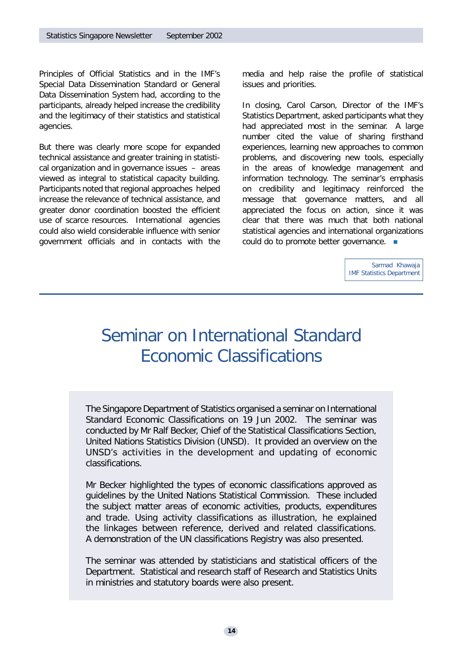Principles of Official Statistics and in the IMF's Special Data Dissemination Standard or General Data Dissemination System had, according to the participants, already helped increase the credibility and the legitimacy of their statistics and statistical agencies.

But there was clearly more scope for expanded technical assistance and greater training in statistical organization and in governance issues – areas viewed as integral to statistical capacity building. Participants noted that regional approaches helped increase the relevance of technical assistance, and greater donor coordination boosted the efficient use of scarce resources. International agencies could also wield considerable influence with senior government officials and in contacts with the

media and help raise the profile of statistical issues and priorities.

In closing, Carol Carson, Director of the IMF's Statistics Department, asked participants what they had appreciated most in the seminar. A large number cited the value of sharing firsthand experiences, learning new approaches to common problems, and discovering new tools, especially in the areas of knowledge management and information technology. The seminar's emphasis on credibility and legitimacy reinforced the message that governance matters, and all appreciated the focus on action, since it was clear that there was much that both national statistical agencies and international organizations could do to promote better governance.  $\blacksquare$ 

> Sarmad Khawaja IMF Statistics Department

# Seminar on International Standard Economic Classifications

The Singapore Department of Statistics organised a seminar on International Standard Economic Classifications on 19 Jun 2002. The seminar was conducted by Mr Ralf Becker, Chief of the Statistical Classifications Section, United Nations Statistics Division (UNSD). It provided an overview on the UNSD's activities in the development and updating of economic classifications.

Mr Becker highlighted the types of economic classifications approved as guidelines by the United Nations Statistical Commission. These included the subject matter areas of economic activities, products, expenditures and trade. Using activity classifications as illustration, he explained the linkages between reference, derived and related classifications. A demonstration of the UN classifications Registry was also presented.

The seminar was attended by statisticians and statistical officers of the Department. Statistical and research staff of Research and Statistics Units in ministries and statutory boards were also present.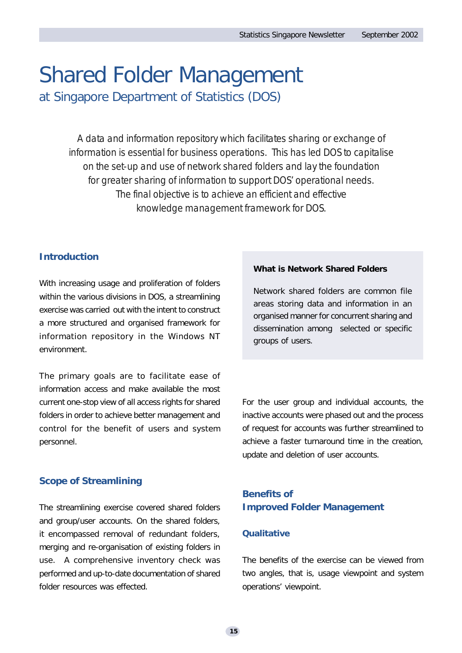# Shared Folder Management at Singapore Department of Statistics (DOS)

A data and information repository which facilitates sharing or exchange of information is essential for business operations. This has led DOS to capitalise on the set-up and use of network shared folders and lay the foundation for greater sharing of information to support DOS' operational needs. The final objective is to achieve an efficient and effective knowledge management framework for DOS.

# **Introduction**

With increasing usage and proliferation of folders within the various divisions in DOS, a streamlining exercise was carried out with the intent to construct a more structured and organised framework for information repository in the Windows NT environment.

The primary goals are to facilitate ease of information access and make available the most current one-stop view of all access rights for shared folders in order to achieve better management and control for the benefit of users and system personnel.

# **Scope of Streamlining**

The streamlining exercise covered shared folders and group/user accounts. On the shared folders, it encompassed removal of redundant folders, merging and re-organisation of existing folders in use. A comprehensive inventory check was performed and up-to-date documentation of shared folder resources was effected.

# **What is Network Shared Folders**

Network shared folders are common file areas storing data and information in an organised manner for concurrent sharing and dissemination among selected or specific groups of users.

For the user group and individual accounts, the inactive accounts were phased out and the process of request for accounts was further streamlined to achieve a faster turnaround time in the creation, update and deletion of user accounts.

# **Benefits of Improved Folder Management**

# *Qualitative*

The benefits of the exercise can be viewed from two angles, that is, usage viewpoint and system operations' viewpoint.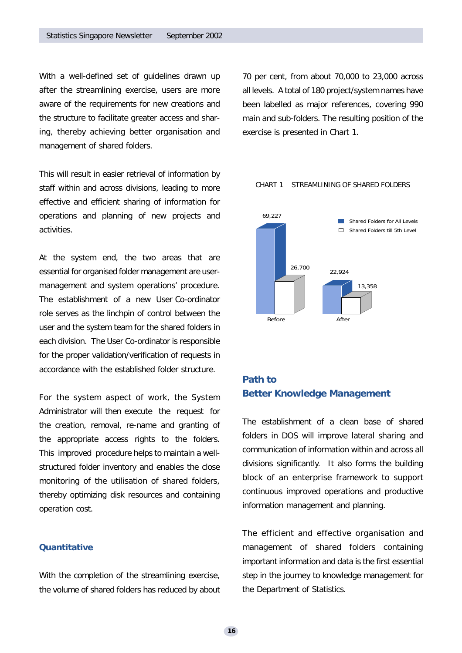With a well-defined set of guidelines drawn up after the streamlining exercise, users are more aware of the requirements for new creations and the structure to facilitate greater access and sharing, thereby achieving better organisation and management of shared folders.

This will result in easier retrieval of information by staff within and across divisions, leading to more effective and efficient sharing of information for operations and planning of new projects and activities.

At the system end, the two areas that are essential for organised folder management are usermanagement and system operations' procedure. The establishment of a new User Co-ordinator role serves as the linchpin of control between the user and the system team for the shared folders in each division. The User Co-ordinator is responsible for the proper validation/verification of requests in accordance with the established folder structure.

For the system aspect of work, the System Administrator will then execute the request for the creation, removal, re-name and granting of the appropriate access rights to the folders. This improved procedure helps to maintain a wellstructured folder inventory and enables the close monitoring of the utilisation of shared folders, thereby optimizing disk resources and containing operation cost.

# *Quantitative*

With the completion of the streamlining exercise, the volume of shared folders has reduced by about 70 per cent, from about 70,000 to 23,000 across all levels. A total of 180 project/system names have been labelled as major references, covering 990 main and sub-folders. The resulting position of the exercise is presented in Chart 1.

#### CHART 1 STREAMLINING OF SHARED FOLDERS



# **Path to Better Knowledge Management**

The establishment of a clean base of shared folders in DOS will improve lateral sharing and communication of information within and across all divisions significantly. It also forms the building block of an enterprise framework to support continuous improved operations and productive information management and planning.

The efficient and effective organisation and management of shared folders containing important information and data is the first essential step in the journey to knowledge management for the Department of Statistics.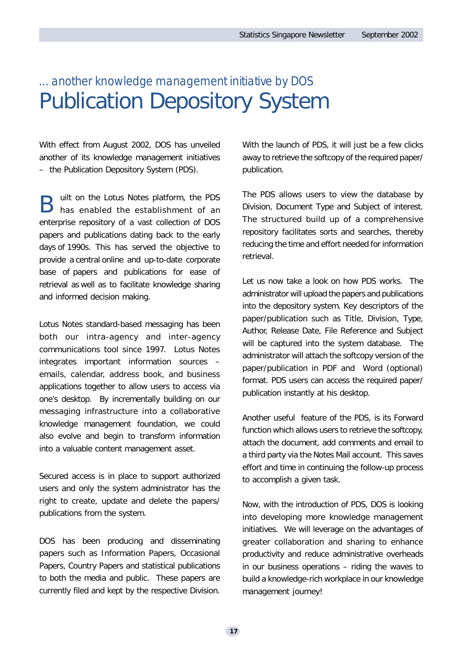# *... another knowledge management initiative by DOS* Publication Depository System

With effect from August 2002, DOS has unveiled another of its knowledge management initiatives – the Publication Depository System (PDS).

B uilt on the Lotus Notes platform, the PDS has enabled the establishment of an enterprise repository of a vast collection of DOS papers and publications dating back to the early days of 1990s. This has served the objective to provide a central online and up-to-date corporate base of papers and publications for ease of retrieval as well as to facilitate knowledge sharing and informed decision making.

Lotus Notes standard-based messaging has been both our intra-agency and inter-agency communications tool since 1997. Lotus Notes integrates important information sources – emails, calendar, address book, and business applications together to allow users to access via one's desktop. By incrementally building on our messaging infrastructure into a collaborative knowledge management foundation, we could also evolve and begin to transform information into a valuable content management asset.

Secured access is in place to support authorized users and only the system administrator has the right to create, update and delete the papers/ publications from the system.

DOS has been producing and disseminating papers such as Information Papers, Occasional Papers, Country Papers and statistical publications to both the media and public. These papers are currently filed and kept by the respective Division. With the launch of PDS, it will just be a few clicks away to retrieve the softcopy of the required paper/ publication.

The PDS allows users to view the database by Division, Document Type and Subject of interest. The structured build up of a comprehensive repository facilitates sorts and searches, thereby reducing the time and effort needed for information retrieval.

Let us now take a look on how PDS works. The administrator will upload the papers and publications into the depository system. Key descriptors of the paper/publication such as Title, Division, Type, Author, Release Date, File Reference and Subject will be captured into the system database. The administrator will attach the softcopy version of the paper/publication in PDF and Word (optional) format. PDS users can access the required paper/ publication instantly at his desktop.

Another useful feature of the PDS, is its Forward function which allows users to retrieve the softcopy, attach the document, add comments and email to a third party via the Notes Mail account. This saves effort and time in continuing the follow-up process to accomplish a given task.

Now, with the introduction of PDS, DOS is looking into developing more knowledge management initiatives. We will leverage on the advantages of greater collaboration and sharing to enhance productivity and reduce administrative overheads in our business operations – riding the waves to build a knowledge-rich workplace in our knowledge management journey!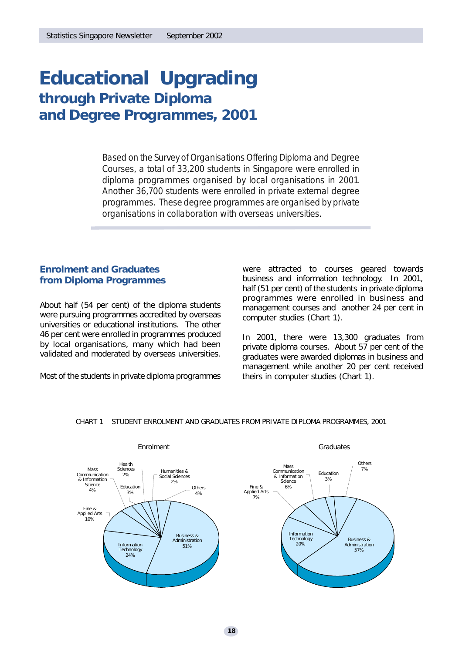# **Educational Upgrading through Private Diploma and Degree Programmes, 2001**

*Based on the Survey of Organisations Offering Diploma and Degree Courses, a total of 33,200 students in Singapore were enrolled in diploma programmes organised by local organisations in 2001. Another 36,700 students were enrolled in private external degree programmes. These degree programmes are organised by private organisations in collaboration with overseas universities.*

# **Enrolment and Graduates from Diploma Programmes**

About half (54 per cent) of the diploma students were pursuing programmes accredited by overseas universities or educational institutions. The other 46 per cent were enrolled in programmes produced by local organisations, many which had been validated and moderated by overseas universities.

Most of the students in private diploma programmes

were attracted to courses geared towards business and information technology. In 2001, half (51 per cent) of the students in private diploma programmes were enrolled in business and management courses and another 24 per cent in computer studies (Chart 1).

In 2001, there were 13,300 graduates from private diploma courses. About 57 per cent of the graduates were awarded diplomas in business and management while another 20 per cent received theirs in computer studies (Chart 1).



CHART 1 STUDENT ENROLMENT AND GRADUATES FROM PRIVATE DIPLOMA PROGRAMMES, 2001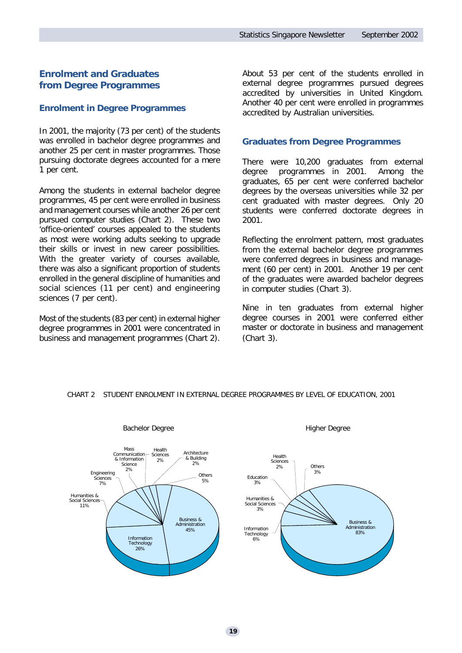# **Enrolment and Graduates from Degree Programmes**

# *Enrolment in Degree Programmes*

In 2001, the majority (73 per cent) of the students was enrolled in bachelor degree programmes and another 25 per cent in master programmes. Those pursuing doctorate degrees accounted for a mere 1 per cent.

Among the students in external bachelor degree programmes, 45 per cent were enrolled in business and management courses while another 26 per cent pursued computer studies (Chart 2). These two 'office-oriented' courses appealed to the students as most were working adults seeking to upgrade their skills or invest in new career possibilities. With the greater variety of courses available, there was also a significant proportion of students enrolled in the general discipline of humanities and social sciences (11 per cent) and engineering sciences (7 per cent).

Most of the students (83 per cent) in external higher degree programmes in 2001 were concentrated in business and management programmes (Chart 2).

About 53 per cent of the students enrolled in external degree programmes pursued degrees accredited by universities in United Kingdom. Another 40 per cent were enrolled in programmes accredited by Australian universities.

### *Graduates from Degree Programmes*

There were 10,200 graduates from external degree programmes in 2001. Among the graduates, 65 per cent were conferred bachelor degrees by the overseas universities while 32 per cent graduated with master degrees. Only 20 students were conferred doctorate degrees in 2001.

Reflecting the enrolment pattern, most graduates from the external bachelor degree programmes were conferred degrees in business and management (60 per cent) in 2001. Another 19 per cent of the graduates were awarded bachelor degrees in computer studies (Chart 3).

Nine in ten graduates from external higher degree courses in 2001 were conferred either master or doctorate in business and management (Chart 3).



### CHART 2 STUDENT ENROLMENT IN EXTERNAL DEGREE PROGRAMMES BY LEVEL OF EDUCATION, 2001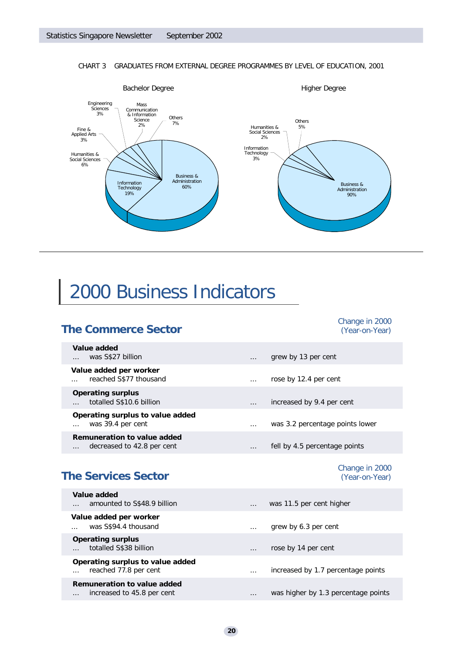

### CHART 3 GRADUATES FROM EXTERNAL DEGREE PROGRAMMES BY LEVEL OF EDUCATION, 2001

# 2000 Business Indicators

# **The Commerce Sector** *(Year-on-Year)*

# *Change in 2000*

*Change in 2000*

... was 3.2 percentage points lower

| Value added                      | grew by 13 per cent           |
|----------------------------------|-------------------------------|
| was S\$27 billion                | $\cdots$                      |
| Value added per worker           | rose by 12.4 per cent         |
| reached S\$77 thousand           | $\cdots$                      |
| <b>Operating surplus</b>         | increased by 9.4 per cent     |
| totalled S\$10.6 billion         | $\cdots$                      |
| Operating surplus to value added | was 3.2 percentage points lo  |
| was 39.4 per cent                | $\cdots$                      |
| Remuneration to value added      | fell by 4.5 percentage points |
| decreased to 42.8 per cent       | .                             |

# **The Services Sector** *(Year-on-Year)*

| Value added                                                | amounted to S\$48.9 billion      |          | was 11.5 per cent higher            |
|------------------------------------------------------------|----------------------------------|----------|-------------------------------------|
| Value added per worker<br>was S\$94.4 thousand<br>$\cdots$ |                                  | $\cdots$ | grew by 6.3 per cent                |
| <b>Operating surplus</b><br>totalled S\$38 billion         |                                  | $\cdots$ | rose by 14 per cent                 |
| reached 77.8 per cent                                      | Operating surplus to value added | $\cdots$ | increased by 1.7 percentage points  |
| Remuneration to value added                                | increased to 45.8 per cent       | .        | was higher by 1.3 percentage points |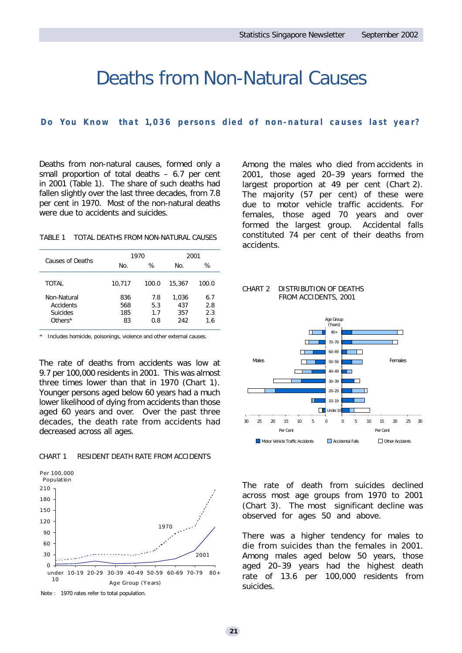# Deaths from Non-Natural Causes

# *Do You Know that 1,036 persons died of non-natural causes last year ?*

Deaths from non-natural causes, formed only a small proportion of total deaths – 6.7 per cent in 2001 (Table 1). The share of such deaths had fallen slightly over the last three decades, from 7.8 per cent in 1970. Most of the non-natural deaths were due to accidents and suicides.

TABLE 1 TOTAL DEATHS FROM NON-NATURAL CAUSES

| Causes of Deaths |        | 1970  | 2001   |       |  |
|------------------|--------|-------|--------|-------|--|
|                  | No.    | %     | No.    | ℅     |  |
|                  |        |       |        |       |  |
| TOTAL            | 10,717 | 100.0 | 15,367 | 100.0 |  |
| Non-Natural      | 836    | 7.8   | 1,036  | 6.7   |  |
| Accidents        | 568    | 5.3   | 437    | 2.8   |  |
| <b>Suicides</b>  | 185    | 1.7   | 357    | 2.3   |  |
| Others $*$       | 83     | 0.8   | 242    | 1.6   |  |
|                  |        |       |        |       |  |

Includes homicide, poisonings, violence and other external causes.

The rate of deaths from accidents was low at 9.7 per 100,000 residents in 2001. This was almost three times lower than that in 1970 (Chart 1). Younger persons aged below 60 years had a much lower likelihood of dying from accidents than those aged 60 years and over. Over the past three decades, the death rate from accidents had decreased across all ages.

#### CHART 1 RESIDENT DEATH RATE FROM ACCIDENTS



Note : 1970 rates refer to total population.

Among the males who died from accidents in 2001, those aged 20–39 years formed the largest proportion at 49 per cent (Chart 2). The majority (57 per cent) of these were due to motor vehicle traffic accidents. For females, those aged 70 years and over formed the largest group. Accidental falls constituted 74 per cent of their deaths from accidents.





The rate of death from suicides declined across most age groups from 1970 to 2001 (Chart 3). The most significant decline was observed for ages 50 and above.

There was a higher tendency for males to die from suicides than the females in 2001. Among males aged below 50 years, those aged 20–39 years had the highest death rate of 13.6 per 100,000 residents from suicides.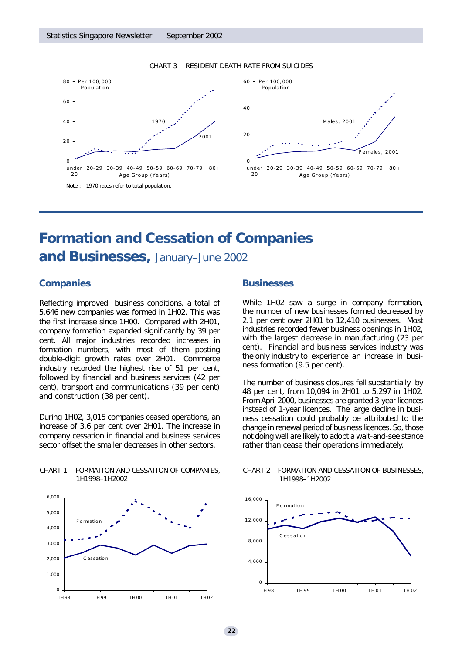#### Note : 1970 rates refer to total population.  $\Omega$ 2 0 4 0 6 0 8 0 under  $20$ 20-29 30-39 40-49 50-59 60-69 70-79 80+ Age Group (Years) 1970 .<br>200. Per 100,000 Popu la tio n  $\Omega$ 2 0 4 0 6 0 under 20-29 30-39 40-49 50-59 60-69 70-79 80+ 2 0 Age Group (Years) M a les, 2001 Per 100,000 Popu la tio n

#### CHART 3 RESIDENT DEATH RATE FROM SUICIDES

# **Formation and Cessation of Companies**

# **and Businesses,** January–June 2002

# **Companies**

Reflecting improved business conditions, a total of 5,646 new companies was formed in 1H02. This was the first increase since 1H00. Compared with 2H01, company formation expanded significantly by 39 per cent. All major industries recorded increases in formation numbers, with most of them posting double-digit growth rates over 2H01. Commerce industry recorded the highest rise of 51 per cent, followed by financial and business services (42 per cent), transport and communications (39 per cent) and construction (38 per cent).

During 1H02, 3,015 companies ceased operations, an increase of 3.6 per cent over 2H01. The increase in company cessation in financial and business services sector offset the smaller decreases in other sectors.

CHART 1 FORMATION AND CESSATION OF COMPANIES,

1H1998–1H2002

# 0 1,000 2,000 3,000 4,000 5,000 6,000 1H 98 1H 99 1H 00 1H 01 1H 02 C essatio n F o rmatio n

# **Businesses**

While 1H02 saw a surge in company formation, the number of new businesses formed decreased by 2.1 per cent over 2H01 to 12,410 businesses. Most industries recorded fewer business openings in 1H02, with the largest decrease in manufacturing (23 per cent). Financial and business services industry was the only industry to experience an increase in business formation (9.5 per cent).

F e ma les, 2001

The number of business closures fell substantially by 48 per cent, from 10,094 in 2H01 to 5,297 in 1H02. From April 2000, businesses are granted 3-year licences instead of 1-year licences. The large decline in business cessation could probably be attributed to the change in renewal period of business licences. So, those not doing well are likely to adopt a wait-and-see stance rather than cease their operations immediately.

#### CHART 2 FORMATION AND CESSATION OF BUSINESSES, 1H1998–1H2002



#### **22**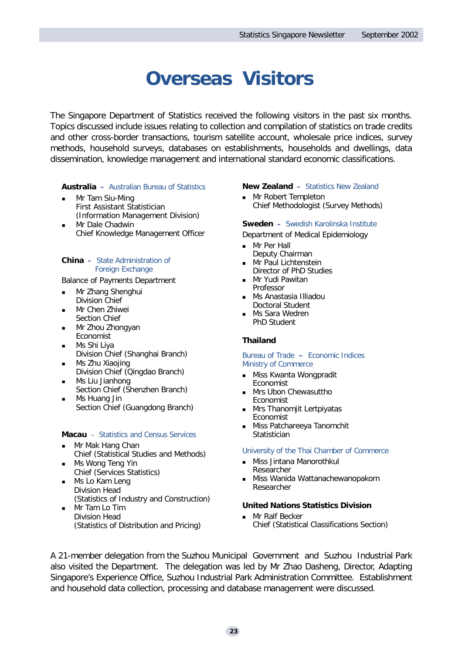# **Overseas Visitors**

The Singapore Department of Statistics received the following visitors in the past six months. Topics discussed include issues relating to collection and compilation of statistics on trade credits and other cross-border transactions, tourism satellite account, wholesale price indices, survey methods, household surveys, databases on establishments, households and dwellings, data dissemination, knowledge management and international standard economic classifications.

# **Australia –** *Australian Bureau of Statistics*

- Mr Tam Siu-Ming First Assistant Statistician (Information Management Division)
- Mr Dale Chadwin Chief Knowledge Management Officer

### **China –** *State Administration of Foreign Exchange*

Balance of Payments Department

- **n** Mr Zhang Shenghui Division Chief
- Mr Chen Zhiwei Section Chief
- **n** Mr Zhou Zhongyan Economist
- **n** Ms Shi Liya
- Division Chief (Shanghai Branch) **n** Ms Zhu Xiaojing
- Division Chief (Qingdao Branch) **n** Ms Liu Jianhong
- Section Chief (Shenzhen Branch) **n** Ms Huang Jin
- Section Chief (Guangdong Branch)

# **Macau** – *Statistics and Census Services*

- Mr Mak Hang Chan Chief (Statistical Studies and Methods)
- Ms Wong Teng Yin Chief (Services Statistics)
- Ms Lo Kam Leng Division Head (Statistics of Industry and Construction)
- **n** Mr Tam Lo Tim Division Head (Statistics of Distribution and Pricing)

### **New Zealand –** *Statistics New Zealand*

**n** Mr Robert Templeton Chief Methodologist (Survey Methods)

### **Sweden –** *Swedish Karolinska Institute*

Department of Medical Epidemiology

- **n** Mr Per Hall Deputy Chairman
- Mr Paul Lichtenstein Director of PhD Studies
- Mr Yudi Pawitan Professor
- **n** Ms Anastasia Illiadou Doctoral Student
- Ms Sara Wedren PhD Student

# **Thailand**

#### *Bureau of Trade* **–** *Economic Indices Ministry of Commerce*

- **Niss Kwanta Wongpradit** Economist
- Mrs Ubon Chewasuttho Economist
- **n** Mrs Thanomjit Lertpiyatas Economist
- Miss Patchareeya Tanomchit Statistician

### *University of the Thai Chamber of Commerce*

- Miss Jintana Manorothkul Researcher
- Miss Wanida Wattanachewanopakorn Researcher

# **United Nations Statistics Division**

**n** Mr Ralf Becker Chief (Statistical Classifications Section)

A 21-member delegation from the Suzhou Municipal Government and Suzhou Industrial Park also visited the Department. The delegation was led by Mr Zhao Dasheng, Director, Adapting Singapore's Experience Office, Suzhou Industrial Park Administration Committee. Establishment and household data collection, processing and database management were discussed.